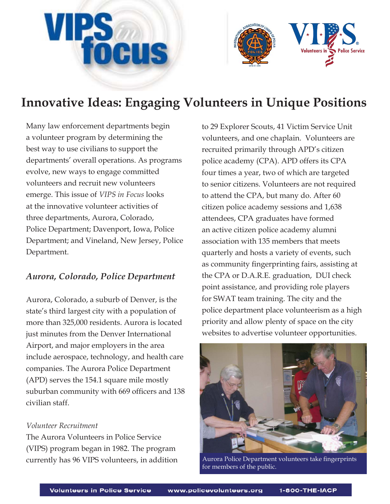# **VIPS** DCUS



# **Innovative Ideas: Engaging Volunteers in Unique Positions**

Many law enforcement departments begin a volunteer program by determining the best way to use civilians to support the departments' overall operations. As programs evolve, new ways to engage committed volunteers and recruit new volunteers emerge. This issue of *VIPS in Focus* looks at the innovative volunteer activities of three departments, Aurora, Colorado, Police Department; Davenport, Iowa, Police Department; and Vineland, New Jersey, Police Department.

## *Aurora, Colorado, Police Department*

Aurora, Colorado, a suburb of Denver, is the state's third largest city with a population of more than 325,000 residents. Aurora is located just minutes from the Denver International Airport, and major employers in the area include aerospace, technology, and health care companies. The Aurora Police Department (APD) serves the 154.1 square mile mostly suburban community with 669 officers and 138 civilian staff.

### *Volunteer Recruitment*

The Aurora Volunteers in Police Service (VIPS) program began in 1982. The program currently has 96 VIPS volunteers, in addition

to 29 Explorer Scouts, 41 Victim Service Unit volunteers, and one chaplain. Volunteers are recruited primarily through APD's citizen police academy (CPA). APD offers its CPA four times a year, two of which are targeted to senior citizens. Volunteers are not required to attend the CPA, but many do. After 60 citizen police academy sessions and 1,638 attendees, CPA graduates have formed an active citizen police academy alumni association with 135 members that meets quarterly and hosts a variety of events, such as community fingerprinting fairs, assisting at the CPA or D.A.R.E. graduation, DUI check point assistance, and providing role players for SWAT team training. The city and the police department place volunteerism as a high priority and allow plenty of space on the city websites to advertise volunteer opportunities.



Aurora Police Department volunteers take fingerprints for members of the public.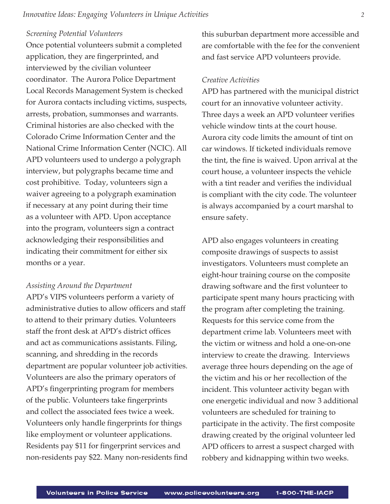#### *Screening Potential Volunteers*

Once potential volunteers submit a completed application, they are fingerprinted, and interviewed by the civilian volunteer coordinator. The Aurora Police Department Local Records Management System is checked for Aurora contacts including victims, suspects, arrests, probation, summonses and warrants. Criminal histories are also checked with the Colorado Crime Information Center and the National Crime Information Center (NCIC). All APD volunteers used to undergo a polygraph interview, but polygraphs became time and cost prohibitive. Today, volunteers sign a waiver agreeing to a polygraph examination if necessary at any point during their time as a volunteer with APD. Upon acceptance into the program, volunteers sign a contract acknowledging their responsibilities and indicating their commitment for either six months or a year.

#### *Assisting Around the Department*

APD's VIPS volunteers perform a variety of administrative duties to allow officers and staff to attend to their primary duties. Volunteers staff the front desk at APD's district offices and act as communications assistants. Filing, scanning, and shredding in the records department are popular volunteer job activities. Volunteers are also the primary operators of APD's fingerprinting program for members of the public. Volunteers take fingerprints and collect the associated fees twice a week. Volunteers only handle fingerprints for things like employment or volunteer applications. Residents pay \$11 for fingerprint services and non-residents pay \$22. Many non-residents find this suburban department more accessible and are comfortable with the fee for the convenient and fast service APD volunteers provide.

#### *Creative Activities*

APD has partnered with the municipal district court for an innovative volunteer activity. Three days a week an APD volunteer verifies vehicle window tints at the court house. Aurora city code limits the amount of tint on car windows. If ticketed individuals remove the tint, the fine is waived. Upon arrival at the court house, a volunteer inspects the vehicle with a tint reader and verifies the individual is compliant with the city code. The volunteer is always accompanied by a court marshal to ensure safety.

APD also engages volunteers in creating composite drawings of suspects to assist investigators. Volunteers must complete an eight-hour training course on the composite drawing software and the first volunteer to participate spent many hours practicing with the program after completing the training. Requests for this service come from the department crime lab. Volunteers meet with the victim or witness and hold a one-on-one interview to create the drawing. Interviews average three hours depending on the age of the victim and his or her recollection of the incident. This volunteer activity began with one energetic individual and now 3 additional volunteers are scheduled for training to participate in the activity. The first composite drawing created by the original volunteer led APD officers to arrest a suspect charged with robbery and kidnapping within two weeks.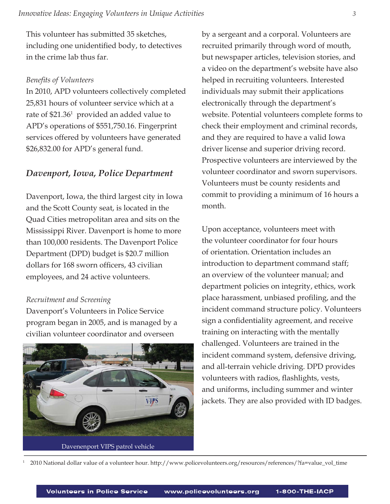This volunteer has submitted 35 sketches, including one unidentified body, to detectives in the crime lab thus far.

#### **Benefits of Volunteers**

In 2010, APD volunteers collectively completed 25,831 hours of volunteer service which at a rate of \$21.36<sup>1</sup> provided an added value to APD's operations of \$551,750.16. Fingerprint services offered by volunteers have generated \$26,832.00 for APD's general fund.

#### *Davenport, Iowa, Police Department*

Davenport, Iowa, the third largest city in Iowa and the Scott County seat, is located in the Quad Cities metropolitan area and sits on the Mississippi River. Davenport is home to more than 100,000 residents. The Davenport Police Department (DPD) budget is \$20.7 million dollars for 168 sworn officers, 43 civilian employees, and 24 active volunteers.

#### *Recruitment and Screening*

1

Davenport's Volunteers in Police Service program began in 2005, and is managed by a civilian volunteer coordinator and overseen



by a sergeant and a corporal. Volunteers are recruited primarily through word of mouth, but newspaper articles, television stories, and a video on the department's website have also helped in recruiting volunteers. Interested individuals may submit their applications electronically through the department's website. Potential volunteers complete forms to check their employment and criminal records, and they are required to have a valid Iowa driver license and superior driving record. Prospective volunteers are interviewed by the volunteer coordinator and sworn supervisors. Volunteers must be county residents and commit to providing a minimum of 16 hours a month.

Upon acceptance, volunteers meet with the volunteer coordinator for four hours of orientation. Orientation includes an introduction to department command staff; an overview of the volunteer manual; and department policies on integrity, ethics, work place harassment, unbiased profiling, and the incident command structure policy. Volunteers sign a confidentiality agreement, and receive training on interacting with the mentally challenged. Volunteers are trained in the incident command system, defensive driving, and all-terrain vehicle driving. DPD provides volunteers with radios, flashlights, vests, and uniforms, including summer and winter jackets. They are also provided with ID badges.

2010 National dollar value of a volunteer hour. http://www.policevolunteers.org/resources/references/?fa=value\_vol\_time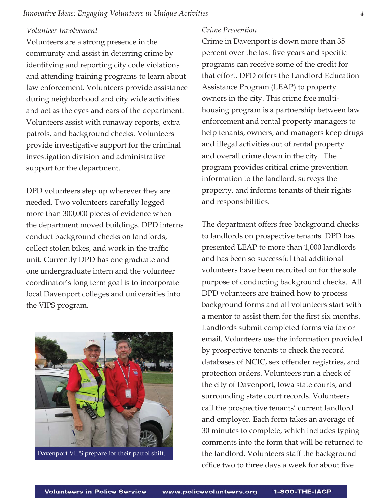#### *Innovative Ideas: Engaging Volunteers in Unique Activities 4*

#### *Volunteer Involvement*

Volunteers are a strong presence in the community and assist in deterring crime by identifying and reporting city code violations and attending training programs to learn about law enforcement. Volunteers provide assistance during neighborhood and city wide activities and act as the eyes and ears of the department. Volunteers assist with runaway reports, extra patrols, and background checks. Volunteers provide investigative support for the criminal investigation division and administrative support for the department.

DPD volunteers step up wherever they are needed. Two volunteers carefully logged more than 300,000 pieces of evidence when the department moved buildings. DPD interns conduct background checks on landlords, collect stolen bikes, and work in the traffic unit. Currently DPD has one graduate and one undergraduate intern and the volunteer coordinator's long term goal is to incorporate local Davenport colleges and universities into the VIPS program.



Davenport VIPS prepare for their patrol shift.

#### *Crime Prevention*

Crime in Davenport is down more than 35 percent over the last five years and specific programs can receive some of the credit for that effort. DPD offers the Landlord Education Assistance Program (LEAP) to property owners in the city. This crime free multihousing program is a partnership between law enforcement and rental property managers to help tenants, owners, and managers keep drugs and illegal activities out of rental property and overall crime down in the city. The program provides critical crime prevention information to the landlord, surveys the property, and informs tenants of their rights and responsibilities.

The department offers free background checks to landlords on prospective tenants. DPD has presented LEAP to more than 1,000 landlords and has been so successful that additional volunteers have been recruited on for the sole purpose of conducting background checks. All DPD volunteers are trained how to process background forms and all volunteers start with a mentor to assist them for the first six months. Landlords submit completed forms via fax or email. Volunteers use the information provided by prospective tenants to check the record databases of NCIC, sex offender registries, and protection orders. Volunteers run a check of the city of Davenport, Iowa state courts, and surrounding state court records. Volunteers call the prospective tenants' current landlord and employer. Each form takes an average of 30 minutes to complete, which includes typing comments into the form that will be returned to the landlord. Volunteers staff the background office two to three days a week for about five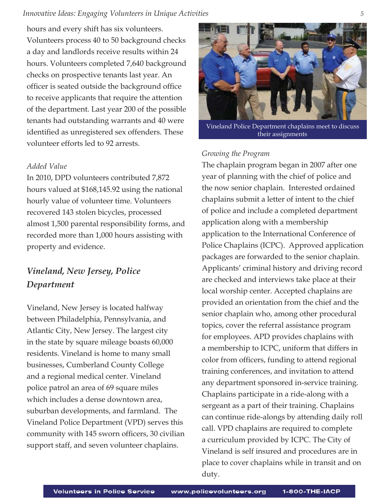hours and every shift has six volunteers. Volunteers process 40 to 50 background checks a day and landlords receive results within 24 hours. Volunteers completed 7,640 background checks on prospective tenants last year. An officer is seated outside the background office to receive applicants that require the attention of the department. Last year 200 of the possible tenants had outstanding warrants and 40 were identified as unregistered sex offenders. These volunteer efforts led to 92 arrests.

#### *Added Value*

In 2010, DPD volunteers contributed 7,872 hours valued at \$168,145.92 using the national hourly value of volunteer time. Volunteers recovered 143 stolen bicycles, processed almost 1,500 parental responsibility forms, and recorded more than 1,000 hours assisting with property and evidence.

# *Vineland, New Jersey, Police Department*

Vineland, New Jersey is located halfway between Philadelphia, Pennsylvania, and Atlantic City, New Jersey. The largest city in the state by square mileage boasts 60,000 residents. Vineland is home to many small businesses, Cumberland County College and a regional medical center. Vineland police patrol an area of 69 square miles which includes a dense downtown area, suburban developments, and farmland. The Vineland Police Department (VPD) serves this community with 145 sworn officers, 30 civilian support staff, and seven volunteer chaplains.



Vineland Police Department chaplains meet to discuss their assignments

#### *Growing the Program*

The chaplain program began in 2007 after one year of planning with the chief of police and the now senior chaplain. Interested ordained chaplains submit a letter of intent to the chief of police and include a completed department application along with a membership application to the International Conference of Police Chaplains (ICPC). Approved application packages are forwarded to the senior chaplain. Applicants' criminal history and driving record are checked and interviews take place at their local worship center. Accepted chaplains are provided an orientation from the chief and the senior chaplain who, among other procedural topics, cover the referral assistance program for employees. APD provides chaplains with a membership to ICPC, uniform that differs in color from officers, funding to attend regional training conferences, and invitation to attend any department sponsored in-service training. Chaplains participate in a ride-along with a sergeant as a part of their training. Chaplains can continue ride-alongs by attending daily roll call. VPD chaplains are required to complete a curriculum provided by ICPC. The City of Vineland is self insured and procedures are in place to cover chaplains while in transit and on duty.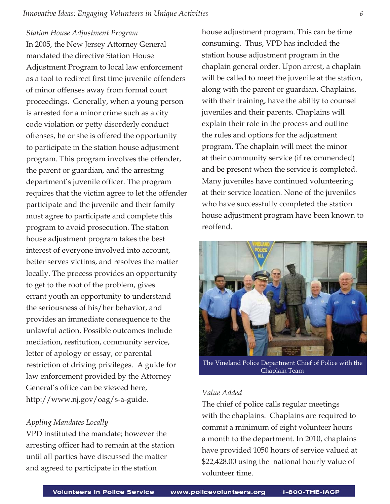#### *Station House Adjustment Program*

In 2005, the New Jersey Attorney General mandated the directive Station House Adjustment Program to local law enforcement as a tool to redirect first time juvenile offenders of minor offenses away from formal court proceedings. Generally, when a young person is arrested for a minor crime such as a city code violation or petty disorderly conduct offenses, he or she is offered the opportunity to participate in the station house adjustment program. This program involves the offender, the parent or guardian, and the arresting department's juvenile officer. The program requires that the victim agree to let the offender participate and the juvenile and their family must agree to participate and complete this program to avoid prosecution. The station house adjustment program takes the best interest of everyone involved into account, better serves victims, and resolves the matter locally. The process provides an opportunity to get to the root of the problem, gives errant youth an opportunity to understand the seriousness of his/her behavior, and provides an immediate consequence to the unlawful action. Possible outcomes include mediation, restitution, community service, letter of apology or essay, or parental restriction of driving privileges. A guide for law enforcement provided by the Attorney General's office can be viewed here, http://www.nj.gov/oag/s-a-guide.

#### *Appling Mandates Locally*

VPD instituted the mandate; however the arresting officer had to remain at the station until all parties have discussed the matter and agreed to participate in the station

house adjustment program. This can be time consuming. Thus, VPD has included the station house adjustment program in the chaplain general order. Upon arrest, a chaplain will be called to meet the juvenile at the station, along with the parent or guardian. Chaplains, with their training, have the ability to counsel juveniles and their parents. Chaplains will explain their role in the process and outline the rules and options for the adjustment program. The chaplain will meet the minor at their community service (if recommended) and be present when the service is completed. Many juveniles have continued volunteering at their service location. None of the juveniles who have successfully completed the station house adjustment program have been known to reoffend.



The Vineland Police Department Chief of Police with the Chaplain Team

#### *Value Added*

The chief of police calls regular meetings with the chaplains. Chaplains are required to commit a minimum of eight volunteer hours a month to the department. In 2010, chaplains have provided 1050 hours of service valued at \$22,428.00 using the national hourly value of volunteer time.